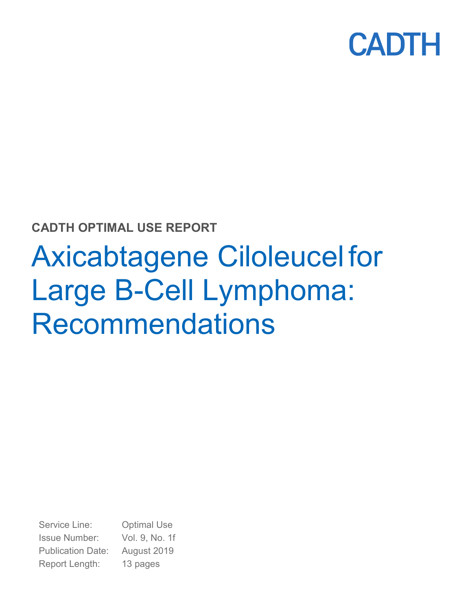

# **CADTH OPTIMAL USE REPORT**

# Axicabtagene Ciloleucel for Large B-Cell Lymphoma: Recommendations

Service Line: Optimal Use Issue Number: Vol. 9, No. 1f Publication Date: August 2019 Report Length: 13 pages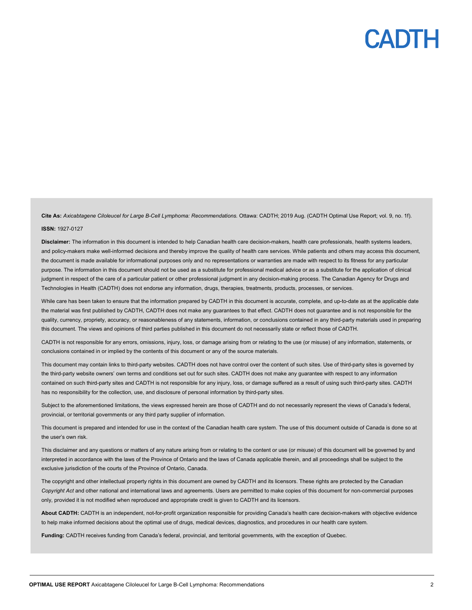**Cite As:** *Axicabtagene Ciloleucel for Large B-Cell Lymphoma: Recommendations.* Ottawa: CADTH; 2019 Aug. (CADTH Optimal Use Report; vol. 9, no. 1f).

#### **ISSN:** 1927-0127

Disclaimer: The information in this document is intended to help Canadian health care decision-makers, health care professionals, health systems leaders, and policy-makers make well-informed decisions and thereby improve the quality of health care services. While patients and others may access this document, the document is made available for informational purposes only and no representations or warranties are made with respect to its fitness for any particular purpose. The information in this document should not be used as a substitute for professional medical advice or as a substitute for the application of clinical judgment in respect of the care of a particular patient or other professional judgment in any decision-making process. The Canadian Agency for Drugs and Technologies in Health (CADTH) does not endorse any information, drugs, therapies, treatments, products, processes, or services.

While care has been taken to ensure that the information prepared by CADTH in this document is accurate, complete, and up-to-date as at the applicable date the material was first published by CADTH, CADTH does not make any guarantees to that effect. CADTH does not guarantee and is not responsible for the quality, currency, propriety, accuracy, or reasonableness of any statements, information, or conclusions contained in any third-party materials used in preparing this document. The views and opinions of third parties published in this document do not necessarily state or reflect those of CADTH.

CADTH is not responsible for any errors, omissions, injury, loss, or damage arising from or relating to the use (or misuse) of any information, statements, or conclusions contained in or implied by the contents of this document or any of the source materials.

This document may contain links to third-party websites. CADTH does not have control over the content of such sites. Use of third-party sites is governed by the third-party website owners' own terms and conditions set out for such sites. CADTH does not make any guarantee with respect to any information contained on such third-party sites and CADTH is not responsible for any injury, loss, or damage suffered as a result of using such third-party sites. CADTH has no responsibility for the collection, use, and disclosure of personal information by third-party sites.

Subject to the aforementioned limitations, the views expressed herein are those of CADTH and do not necessarily represent the views of Canada's federal, provincial, or territorial governments or any third party supplier of information.

This document is prepared and intended for use in the context of the Canadian health care system. The use of this document outside of Canada is done so at the user's own risk.

This disclaimer and any questions or matters of any nature arising from or relating to the content or use (or misuse) of this document will be governed by and interpreted in accordance with the laws of the Province of Ontario and the laws of Canada applicable therein, and all proceedings shall be subject to the exclusive jurisdiction of the courts of the Province of Ontario, Canada.

The copyright and other intellectual property rights in this document are owned by CADTH and its licensors. These rights are protected by the Canadian *Copyright Act* and other national and international laws and agreements. Users are permitted to make copies of this document for non-commercial purposes only, provided it is not modified when reproduced and appropriate credit is given to CADTH and its licensors.

**About CADTH:** CADTH is an independent, not-for-profit organization responsible for providing Canada's health care decision-makers with objective evidence to help make informed decisions about the optimal use of drugs, medical devices, diagnostics, and procedures in our health care system.

**Funding:** CADTH receives funding from Canada's federal, provincial, and territorial governments, with the exception of Quebec.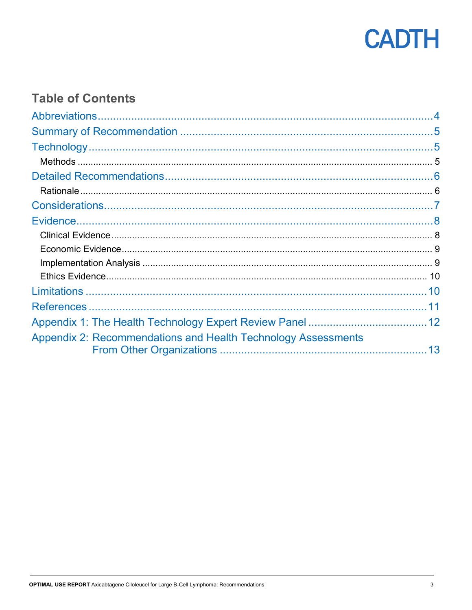

# **Table of Contents**

| Appendix 2: Recommendations and Health Technology Assessments |  |
|---------------------------------------------------------------|--|
|                                                               |  |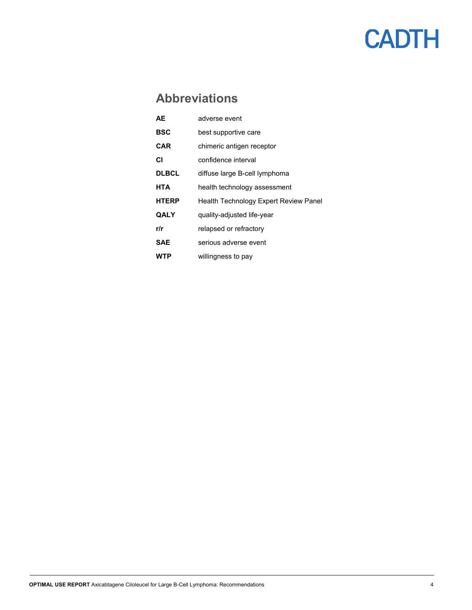# **Abbreviations**

<span id="page-3-0"></span>

| AE           | adverse event                         |
|--------------|---------------------------------------|
| BSC          | best supportive care                  |
| CAR          | chimeric antigen receptor             |
| СI           | confidence interval                   |
| <b>DLBCL</b> | diffuse large B-cell lymphoma         |
| HTA          | health technology assessment          |
| <b>HTERP</b> | Health Technology Expert Review Panel |
| QALY         | quality-adjusted life-year            |
| r/r          | relapsed or refractory                |
| <b>SAE</b>   | serious adverse event                 |
| WTP          | willingness to pay                    |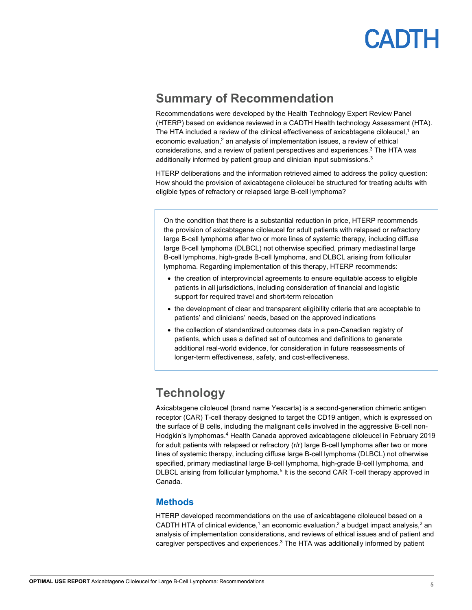

### <span id="page-4-0"></span>**Summary of Recommendation**

Recommendations were developed by the Health Technology Expert Review Panel (HTERP) based on evidence reviewed in a CADTH Health technology Assessment (HTA). The HTA included a review of the clinical effectiveness of axicabtagene ciloleucel,<sup>1</sup> an economic evaluation,<sup>2</sup> an analysis of implementation issues, a review of ethical considerations, and a review of patient perspectives and experiences. <sup>3</sup> The HTA was additionally informed by patient group and clinician input submissions. 3

HTERP deliberations and the information retrieved aimed to address the policy question: How should the provision of axicabtagene ciloleucel be structured for treating adults with eligible types of refractory or relapsed large B-cell lymphoma?

On the condition that there is a substantial reduction in price, HTERP recommends the provision of axicabtagene ciloleucel for adult patients with relapsed or refractory large B-cell lymphoma after two or more lines of systemic therapy, including diffuse large B-cell lymphoma (DLBCL) not otherwise specified, primary mediastinal large B-cell lymphoma, high-grade B-cell lymphoma, and DLBCL arising from follicular lymphoma. Regarding implementation of this therapy, HTERP recommends:

- the creation of interprovincial agreements to ensure equitable access to eligible patients in all jurisdictions, including consideration of financial and logistic support for required travel and short-term relocation
- the development of clear and transparent eligibility criteria that are acceptable to patients' and clinicians' needs, based on the approved indications
- the collection of standardized outcomes data in a pan-Canadian registry of patients, which uses a defined set of outcomes and definitions to generate additional real-world evidence, for consideration in future reassessments of longer-term effectiveness, safety, and cost-effectiveness.

# <span id="page-4-1"></span>**Technology**

Axicabtagene ciloleucel (brand name Yescarta) is a second-generation chimeric antigen receptor (CAR) T-cell therapy designed to target the CD19 antigen, which is expressed on the surface of B cells, including the malignant cells involved in the aggressive B-cell non-Hodgkin's lymphomas. <sup>4</sup> Health Canada approved axicabtagene ciloleucel in February 2019 for adult patients with relapsed or refractory (r/r) large B-cell lymphoma after two or more lines of systemic therapy, including diffuse large B-cell lymphoma (DLBCL) not otherwise specified, primary mediastinal large B-cell lymphoma, high-grade B-cell lymphoma, and DLBCL arising from follicular lymphoma.<sup>5</sup> It is the second CAR T-cell therapy approved in Canada.

#### <span id="page-4-2"></span>**Methods**

HTERP developed recommendations on the use of axicabtagene ciloleucel based on a CADTH HTA of clinical evidence,<sup>1</sup> an economic evaluation,<sup>2</sup> a budget impact analysis,<sup>2</sup> an analysis of implementation considerations, and reviews of ethical issues and of patient and caregiver perspectives and experiences.3 The HTA was additionally informed by patient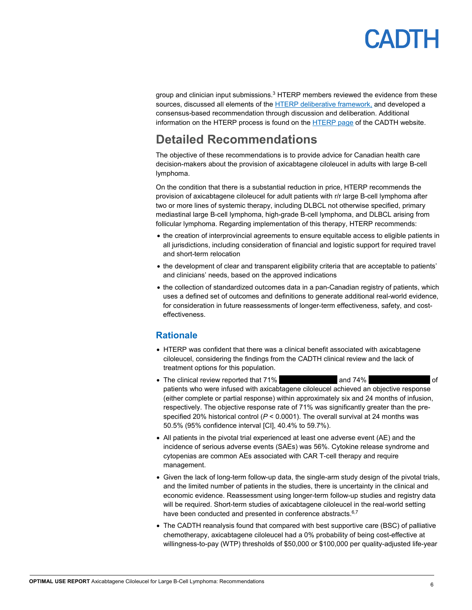group and clinician input submissions. $3$  HTERP members reviewed the evidence from these sources, discussed all elements of the HTERP [deliberative framework,](https://www.cadth.ca/sites/default/files/pdf/hterp/HTERP_DFW_e.pdf) and developed a consensus-based recommendation through discussion and deliberation. Additional information on the HTERP process is found on th[e HTERP](https://www.cadth.ca/collaboration-and-outreach/advisory-bodies/health-technology-expert-review-panel) page of the CADTH website.

# <span id="page-5-0"></span>**Detailed Recommendations**

The objective of these recommendations is to provide advice for Canadian health care decision-makers about the provision of axicabtagene ciloleucel in adults with large B-cell lymphoma.

On the condition that there is a substantial reduction in price, HTERP recommends the provision of axicabtagene ciloleucel for adult patients with r/r large B-cell lymphoma after two or more lines of systemic therapy, including DLBCL not otherwise specified, primary mediastinal large B-cell lymphoma, high-grade B-cell lymphoma, and DLBCL arising from follicular lymphoma. Regarding implementation of this therapy, HTERP recommends:

- the creation of interprovincial agreements to ensure equitable access to eligible patients in all jurisdictions, including consideration of financial and logistic support for required travel and short-term relocation
- the development of clear and transparent eligibility criteria that are acceptable to patients' and clinicians' needs, based on the approved indications
- the collection of standardized outcomes data in a pan-Canadian registry of patients, which uses a defined set of outcomes and definitions to generate additional real-world evidence, for consideration in future reassessments of longer-term effectiveness, safety, and costeffectiveness.

#### <span id="page-5-1"></span>**Rationale**

- HTERP was confident that there was a clinical benefit associated with axicabtagene ciloleucel, considering the findings from the CADTH clinical review and the lack of treatment options for this population.
- The clinical review reported that 71% vvv v and 74% vvv v v of patients who were infused with axicabtagene ciloleucel achieved an objective response (either complete or partial response) within approximately six and 24 months of infusion, respectively. The objective response rate of 71% was significantly greater than the prespecified 20% historical control (*P* < 0.0001). The overall survival at 24 months was 50.5% (95% confidence interval [CI], 40.4% to 59.7%).
- All patients in the pivotal trial experienced at least one adverse event (AE) and the incidence of serious adverse events (SAEs) was 56%. Cytokine release syndrome and cytopenias are common AEs associated with CAR T-cell therapy and require management.
- Given the lack of long-term follow-up data, the single-arm study design of the pivotal trials, and the limited number of patients in the studies, there is uncertainty in the clinical and economic evidence. Reassessment using longer-term follow-up studies and registry data will be required. Short-term studies of axicabtagene ciloleucel in the real-world setting have been conducted and presented in conference abstracts.<sup>6,7</sup>
- The CADTH reanalysis found that compared with best supportive care (BSC) of palliative chemotherapy, axicabtagene ciloleucel had a 0% probability of being cost-effective at willingness-to-pay (WTP) thresholds of \$50,000 or \$100,000 per quality-adjusted life-year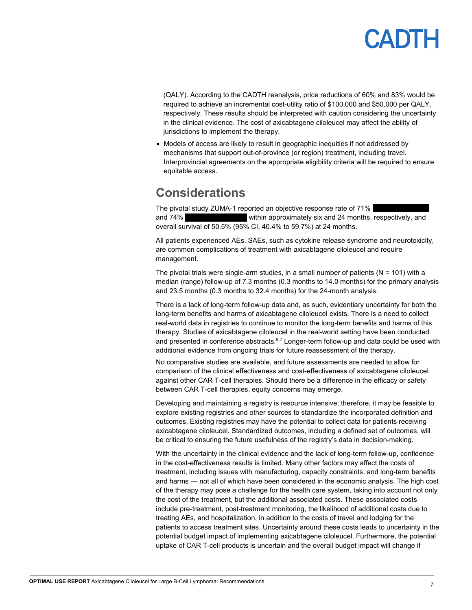# PADTH

(QALY). According to the CADTH reanalysis, price reductions of 60% and 83% would be required to achieve an incremental cost-utility ratio of \$100,000 and \$50,000 per QALY, respectively. These results should be interpreted with caution considering the uncertainty in the clinical evidence. The cost of axicabtagene ciloleucel may affect the ability of jurisdictions to implement the therapy.

• Models of access are likely to result in geographic inequities if not addressed by mechanisms that support out-of-province (or region) treatment, including travel. Interprovincial agreements on the appropriate eligibility criteria will be required to ensure equitable access.

### <span id="page-6-0"></span>**Considerations**

The pivotal study ZUMA-1 reported an objective response rate of 71% and 74% vithin approximately six and 24 months, respectively, and overall survival of 50.5% (95% CI, 40.4% to 59.7%) at 24 months.

All patients experienced AEs. SAEs, such as cytokine release syndrome and neurotoxicity, are common complications of treatment with axicabtagene ciloleucel and require management.

The pivotal trials were single-arm studies, in a small number of patients ( $N = 101$ ) with a median (range) follow-up of 7.3 months (0.3 months to 14.0 months) for the primary analysis and 23.5 months (0.3 months to 32.4 months) for the 24-month analysis.

There is a lack of long-term follow-up data and, as such, evidentiary uncertainty for both the long-term benefits and harms of axicabtagene ciloleucel exists. There is a need to collect real-world data in registries to continue to monitor the long-term benefits and harms of this therapy. Studies of axicabtagene ciloleucel in the real-world setting have been conducted and presented in conference abstracts.<sup>6,7</sup> Longer-term follow-up and data could be used with additional evidence from ongoing trials for future reassessment of the therapy.

No comparative studies are available, and future assessments are needed to allow for comparison of the clinical effectiveness and cost-effectiveness of axicabtagene ciloleucel against other CAR T-cell therapies. Should there be a difference in the efficacy or safety between CAR T-cell therapies, equity concerns may emerge.

Developing and maintaining a registry is resource intensive; therefore, it may be feasible to explore existing registries and other sources to standardize the incorporated definition and outcomes. Existing registries may have the potential to collect data for patients receiving axicabtagene ciloleucel. Standardized outcomes, including a defined set of outcomes, will be critical to ensuring the future usefulness of the registry's data in decision-making.

With the uncertainty in the clinical evidence and the lack of long-term follow-up, confidence in the cost-effectiveness results is limited. Many other factors may affect the costs of treatment, including issues with manufacturing, capacity constraints, and long-term benefits and harms — not all of which have been considered in the economic analysis. The high cost of the therapy may pose a challenge for the health care system, taking into account not only the cost of the treatment, but the additional associated costs. These associated costs include pre-treatment, post-treatment monitoring, the likelihood of additional costs due to treating AEs, and hospitalization, in addition to the costs of travel and lodging for the patients to access treatment sites. Uncertainty around these costs leads to uncertainty in the potential budget impact of implementing axicabtagene ciloleucel. Furthermore, the potential uptake of CAR T-cell products is uncertain and the overall budget impact will change if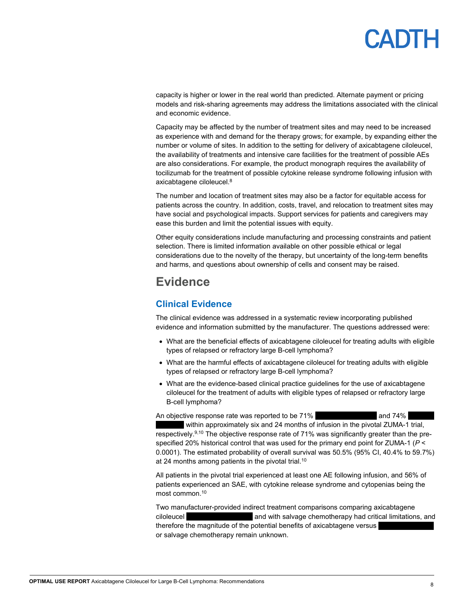# PANTH

capacity is higher or lower in the real world than predicted. Alternate payment or pricing models and risk-sharing agreements may address the limitations associated with the clinical and economic evidence.

Capacity may be affected by the number of treatment sites and may need to be increased as experience with and demand for the therapy grows; for example, by expanding either the number or volume of sites. In addition to the setting for delivery of axicabtagene ciloleucel, the availability of treatments and intensive care facilities for the treatment of possible AEs are also considerations. For example, the product monograph requires the availability of tocilizumab for the treatment of possible cytokine release syndrome following infusion with axicabtagene ciloleucel. 8

The number and location of treatment sites may also be a factor for equitable access for patients across the country. In addition, costs, travel, and relocation to treatment sites may have social and psychological impacts. Support services for patients and caregivers may ease this burden and limit the potential issues with equity.

Other equity considerations include manufacturing and processing constraints and patient selection. There is limited information available on other possible ethical or legal considerations due to the novelty of the therapy, but uncertainty of the long-term benefits and harms, and questions about ownership of cells and consent may be raised.

### <span id="page-7-0"></span>**Evidence**

### <span id="page-7-1"></span>**Clinical Evidence**

The clinical evidence was addressed in a systematic review incorporating published evidence and information submitted by the manufacturer. The questions addressed were:

- What are the beneficial effects of axicabtagene ciloleucel for treating adults with eligible types of relapsed or refractory large B-cell lymphoma?
- What are the harmful effects of axicabtagene ciloleucel for treating adults with eligible types of relapsed or refractory large B-cell lymphoma?
- What are the evidence-based clinical practice guidelines for the use of axicabtagene ciloleucel for the treatment of adults with eligible types of relapsed or refractory large B-cell lymphoma?

An objective response rate was reported to be 71% vvio volution and 74%

within approximately six and 24 months of infusion in the pivotal ZUMA-1 trial, respectively.<sup>9,10</sup> The objective response rate of 71% was significantly greater than the prespecified 20% historical control that was used for the primary end point for ZUMA-1 (*P* < 0.0001). The estimated probability of overall survival was 50.5% (95% CI, 40.4% to 59.7%) at 24 months among patients in the pivotal trial.<sup>10</sup>

All patients in the pivotal trial experienced at least one AE following infusion, and 56% of patients experienced an SAE, with cytokine release syndrome and cytopenias being the most common. 10

Two manufacturer-provided indirect treatment comparisons comparing axicabtagene ciloleucel vvivors and with salvage chemotherapy had critical limitations, and critical limitations, and therefore the magnitude of the potential benefits of axicabtagene versus or salvage chemotherapy remain unknown.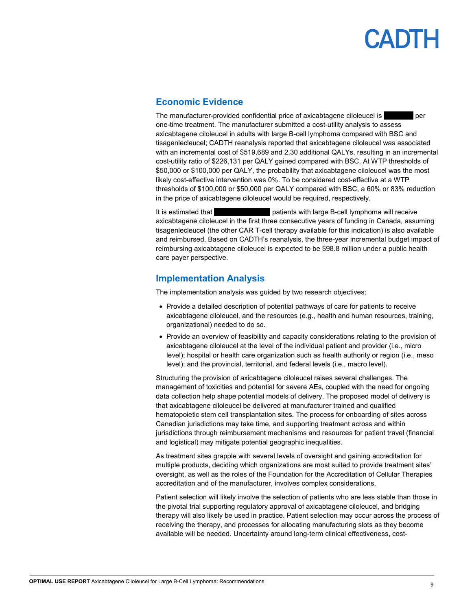#### <span id="page-8-0"></span>**Economic Evidence**

The manufacturer-provided confidential price of axicabtagene ciloleucel is values ber one-time treatment. The manufacturer submitted a cost-utility analysis to assess axicabtagene ciloleucel in adults with large B-cell lymphoma compared with BSC and tisagenlecleucel; CADTH reanalysis reported that axicabtagene ciloleucel was associated with an incremental cost of \$519,689 and 2.30 additional QALYs, resulting in an incremental cost-utility ratio of \$226,131 per QALY gained compared with BSC. At WTP thresholds of \$50,000 or \$100,000 per QALY, the probability that axicabtagene ciloleucel was the most likely cost-effective intervention was 0%. To be considered cost-effective at a WTP thresholds of \$100,000 or \$50,000 per QALY compared with BSC, a 60% or 83% reduction in the price of axicabtagene ciloleucel would be required, respectively.

It is estimated that vvv voltation batients with large B-cell lymphoma will receive axicabtagene ciloleucel in the first three consecutive years of funding in Canada, assuming tisagenlecleucel (the other CAR T-cell therapy available for this indication) is also available and reimbursed. Based on CADTH's reanalysis, the three-year incremental budget impact of reimbursing axicabtagene ciloleucel is expected to be \$98.8 million under a public health care payer perspective.

### <span id="page-8-1"></span>**Implementation Analysis**

The implementation analysis was guided by two research objectives:

- Provide a detailed description of potential pathways of care for patients to receive axicabtagene ciloleucel, and the resources (e.g., health and human resources, training, organizational) needed to do so.
- Provide an overview of feasibility and capacity considerations relating to the provision of axicabtagene ciloleucel at the level of the individual patient and provider (i.e., micro level); hospital or health care organization such as health authority or region (i.e., meso level); and the provincial, territorial, and federal levels (i.e., macro level).

Structuring the provision of axicabtagene ciloleucel raises several challenges. The management of toxicities and potential for severe AEs, coupled with the need for ongoing data collection help shape potential models of delivery. The proposed model of delivery is that axicabtagene ciloleucel be delivered at manufacturer trained and qualified hematopoietic stem cell transplantation sites. The process for onboarding of sites across Canadian jurisdictions may take time, and supporting treatment across and within jurisdictions through reimbursement mechanisms and resources for patient travel (financial and logistical) may mitigate potential geographic inequalities.

As treatment sites grapple with several levels of oversight and gaining accreditation for multiple products, deciding which organizations are most suited to provide treatment sites' oversight, as well as the roles of the Foundation for the Accreditation of Cellular Therapies accreditation and of the manufacturer, involves complex considerations.

Patient selection will likely involve the selection of patients who are less stable than those in the pivotal trial supporting regulatory approval of axicabtagene ciloleucel, and bridging therapy will also likely be used in practice. Patient selection may occur across the process of receiving the therapy, and processes for allocating manufacturing slots as they become available will be needed. Uncertainty around long-term clinical effectiveness, cost-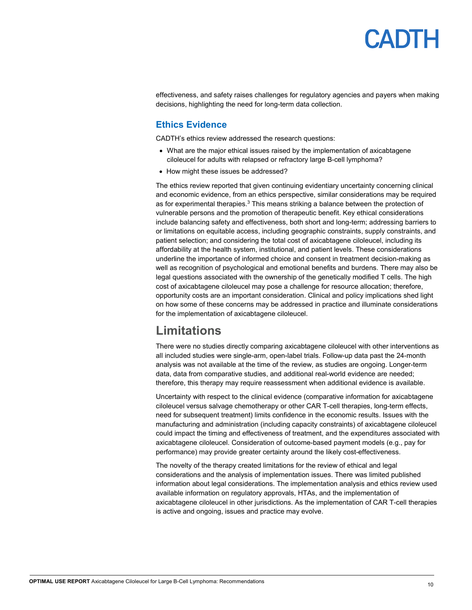effectiveness, and safety raises challenges for regulatory agencies and payers when making decisions, highlighting the need for long-term data collection.

#### <span id="page-9-0"></span>**Ethics Evidence**

CADTH's ethics review addressed the research questions:

- What are the major ethical issues raised by the implementation of axicabtagene ciloleucel for adults with relapsed or refractory large B-cell lymphoma?
- How might these issues be addressed?

The ethics review reported that given continuing evidentiary uncertainty concerning clinical and economic evidence, from an ethics perspective, similar considerations may be required as for experimental therapies.<sup>3</sup> This means striking a balance between the protection of vulnerable persons and the promotion of therapeutic benefit. Key ethical considerations include balancing safety and effectiveness, both short and long-term; addressing barriers to or limitations on equitable access, including geographic constraints, supply constraints, and patient selection; and considering the total cost of axicabtagene ciloleucel, including its affordability at the health system, institutional, and patient levels. These considerations underline the importance of informed choice and consent in treatment decision-making as well as recognition of psychological and emotional benefits and burdens. There may also be legal questions associated with the ownership of the genetically modified T cells. The high cost of axicabtagene ciloleucel may pose a challenge for resource allocation; therefore, opportunity costs are an important consideration. Clinical and policy implications shed light on how some of these concerns may be addressed in practice and illuminate considerations for the implementation of axicabtagene ciloleucel.

### <span id="page-9-1"></span>**Limitations**

There were no studies directly comparing axicabtagene ciloleucel with other interventions as all included studies were single-arm, open-label trials. Follow-up data past the 24-month analysis was not available at the time of the review, as studies are ongoing. Longer-term data, data from comparative studies, and additional real-world evidence are needed; therefore, this therapy may require reassessment when additional evidence is available.

Uncertainty with respect to the clinical evidence (comparative information for axicabtagene ciloleucel versus salvage chemotherapy or other CAR T-cell therapies, long-term effects, need for subsequent treatment) limits confidence in the economic results. Issues with the manufacturing and administration (including capacity constraints) of axicabtagene ciloleucel could impact the timing and effectiveness of treatment, and the expenditures associated with axicabtagene ciloleucel. Consideration of outcome-based payment models (e.g., pay for performance) may provide greater certainty around the likely cost-effectiveness.

The novelty of the therapy created limitations for the review of ethical and legal considerations and the analysis of implementation issues. There was limited published information about legal considerations. The implementation analysis and ethics review used available information on regulatory approvals, HTAs, and the implementation of axicabtagene ciloleucel in other jurisdictions. As the implementation of CAR T-cell therapies is active and ongoing, issues and practice may evolve.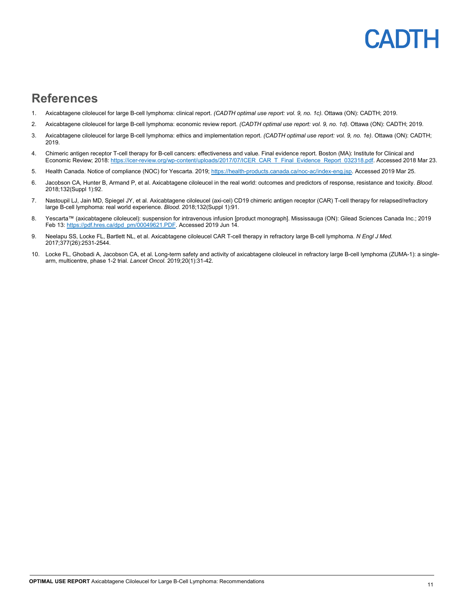### DTE  $\mathbf{A}$

### <span id="page-10-0"></span>**References**

- 1. Axicabtagene ciloleucel for large B-cell lymphoma: clinical report. *(CADTH optimal use report: vol. 9, no. 1c)*. Ottawa (ON): CADTH; 2019.
- 2. Axicabtagene ciloleucel for large B-cell lymphoma: economic review report. *(CADTH optimal use report: vol. 9, no. 1d)*. Ottawa (ON): CADTH; 2019.
- 3. Axicabtagene ciloleucel for large B-cell lymphoma: ethics and implementation report. *(CADTH optimal use report: vol. 9, no. 1e)*. Ottawa (ON): CADTH; 2019.
- 4. Chimeric antigen receptor T-cell therapy for B-cell cancers: effectiveness and value. Final evidence report. Boston (MA): Institute for Clinical and Economic Review; 2018[: https://icer-review.org/wp-content/uploads/2017/07/ICER\\_CAR\\_T\\_Final\\_Evidence\\_Report\\_032318.pdf.](https://icer-review.org/wp-content/uploads/2017/07/ICER_CAR_T_Final_Evidence_Report_032318.pdf) Accessed 2018 Mar 23.
- 5. Health Canada. Notice of compliance (NOC) for Yescarta. 2019[; https://health-products.canada.ca/noc-ac/index-eng.jsp.](https://health-products.canada.ca/noc-ac/index-eng.jsp) Accessed 2019 Mar 25.
- 6. Jacobson CA, Hunter B, Armand P, et al. Axicabtagene ciloleucel in the real world: outcomes and predictors of response, resistance and toxicity. *Blood.*  2018;132(Suppl 1):92.
- 7. Nastoupil LJ, Jain MD, Spiegel JY, et al. Axicabtagene ciloleucel (axi-cel) CD19 chimeric antigen receptor (CAR) T-cell therapy for relapsed/refractory large B-cell lymphoma: real world experience. *Blood.* 2018;132(Suppl 1):91.
- 8. Yescarta™ (axicabtagene ciloleucel): suspension for intravenous infusion [product monograph]. Mississauga (ON): Gilead Sciences Canada Inc.; 2019 Feb 13[: https://pdf.hres.ca/dpd\\_pm/00049621.PDF.](https://pdf.hres.ca/dpd_pm/00049621.PDF) Accessed 2019 Jun 14.
- 9. Neelapu SS, Locke FL, Bartlett NL, et al. Axicabtagene ciloleucel CAR T-cell therapy in refractory large B-cell lymphoma. *N Engl J Med.*  2017;377(26):2531-2544.
- 10. Locke FL, Ghobadi A, Jacobson CA, et al. Long-term safety and activity of axicabtagene ciloleucel in refractory large B-cell lymphoma (ZUMA-1): a singlearm, multicentre, phase 1-2 trial. *Lancet Oncol.* 2019;20(1):31-42.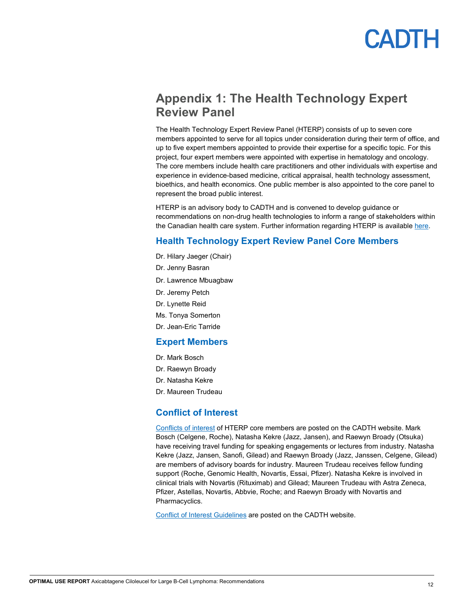### <span id="page-11-0"></span>**Appendix 1: The Health Technology Expert Review Panel**

The Health Technology Expert Review Panel (HTERP) consists of up to seven core members appointed to serve for all topics under consideration during their term of office, and up to five expert members appointed to provide their expertise for a specific topic. For this project, four expert members were appointed with expertise in hematology and oncology. The core members include health care practitioners and other individuals with expertise and experience in evidence-based medicine, critical appraisal, health technology assessment, bioethics, and health economics. One public member is also appointed to the core panel to represent the broad public interest.

HTERP is an advisory body to CADTH and is convened to develop guidance or recommendations on non-drug health technologies to inform a range of stakeholders within the Canadian health care system. Further information regarding HTERP is available [here.](https://www.cadth.ca/collaboration-and-outreach/advisory-bodies/health-technology-expert-review-panel)

#### **Health Technology Expert Review Panel Core Members**

- Dr. Hilary Jaeger (Chair)
- Dr. Jenny Basran
- Dr. Lawrence Mbuagbaw
- Dr. Jeremy Petch
- Dr. Lynette Reid
- Ms. Tonya Somerton
- Dr. Jean-Eric Tarride

#### **Expert Members**

- Dr. Mark Bosch
- Dr. Raewyn Broady
- Dr. Natasha Kekre
- Dr. Maureen Trudeau

#### **Conflict of Interest**

[Conflicts of interest](https://www.cadth.ca/collaboration-and-outreach/advisory-bodies/health-technology-expert-review-panel) of HTERP core members are posted on the CADTH website. Mark Bosch (Celgene, Roche), Natasha Kekre (Jazz, Jansen), and Raewyn Broady (Otsuka) have receiving travel funding for speaking engagements or lectures from industry. Natasha Kekre (Jazz, Jansen, Sanofi, Gilead) and Raewyn Broady (Jazz, Janssen, Celgene, Gilead) are members of advisory boards for industry. Maureen Trudeau receives fellow funding support (Roche, Genomic Health, Novartis, Essai, Pfizer). Natasha Kekre is involved in clinical trials with Novartis (Rituximab) and Gilead; Maureen Trudeau with Astra Zeneca, Pfizer, Astellas, Novartis, Abbvie, Roche; and Raewyn Broady with Novartis and Pharmacyclics.

[Conflict of Interest Guidelines](https://www.cadth.ca/sites/default/files/corporate/corp_committees/cadth_coi_guidelines_cedc_members_e.pdf) are posted on the CADTH website.